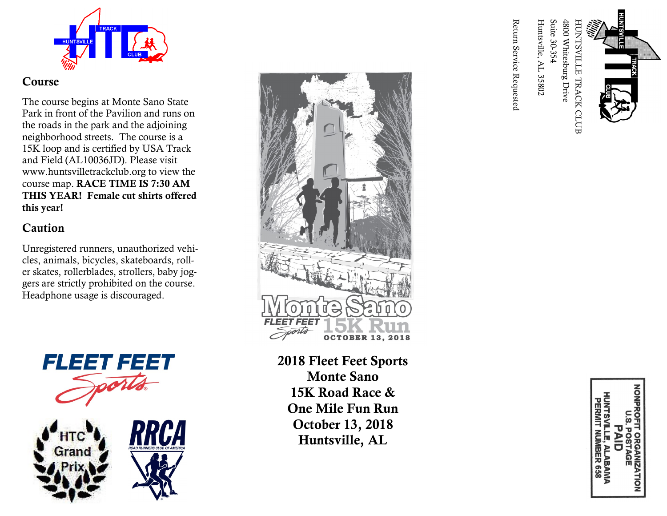

### Course

The course begins at Monte Sano State Park in front of the Pavilion and runs on the roads in the park and the adjoining neighborhood streets. The course is a 15K loop and is certified by USA Track and Field (AL10036JD). Please visit www.huntsvilletrackclub.org to view the course map. RACE TIME IS 7:30 AM THIS YEAR! Female cut shirts offered this year!

# Caution

Unregistered runners, unauthorized vehicles, animals, bicycles, skateboards, roller skates, rollerblades, strollers, baby joggers are strictly prohibited on the course. Headphone usage is discouraged.







2018 Fleet Feet Sports Monte Sano 15K Road Race & One Mile Fun Run October 13, 2018 Huntsville, AL

4800 Whitesburg Drive HUNTSVILLE TRACK CLUB<br>4800 Whitesburg Drive<br>Suite 30-354 Huntsville, AL 35802

Return Service Requested

, ALABAMA<br>MBER 658 **TAGE**